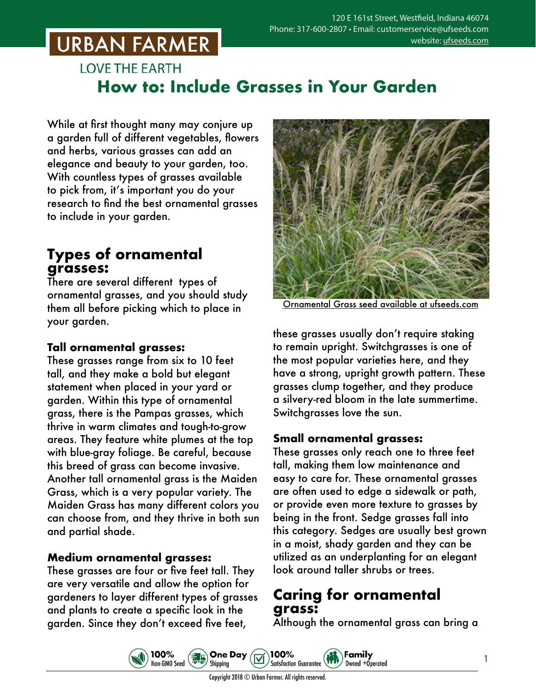## **URBAN FARMER**

## **LOVE THE EARTH How to: Include Grasses in Your Garden**

While at first thought many may conjure up a garden full of different vegetables, flowers and herbs, various grasses can add an elegance and beauty to your garden, too. With countless types of grasses available to pick from, it's important you do your research to find the best ornamental grasses to include in your garden.

## **Types of ornamental grasses:**

There are several different types of ornamental grasses, and you should study them all before picking which to place in your garden.

#### **Tall ornamental grasses:**

These grasses range from six to 10 feet tall, and they make a bold but elegant statement when placed in your yard or garden. Within this type of ornamental grass, there is the Pampas grasses, which thrive in warm climates and tough-to-grow areas. They feature white plumes at the top with blue-gray foliage. Be careful, because this breed of grass can become invasive. Another tall ornamental grass is the Maiden Grass, which is a very popular variety. The Maiden Grass has many different colors you can choose from, and they thrive in both sun and partial shade.

#### **Medium ornamental grasses:**

These grasses are four or five feet tall. They are very versatile and allow the option for gardeners to layer different types of grasses and plants to create a specific look in the garden. Since they don't exceed five feet,

100%

Non-GMO Seed



mental Grass seed available [at ufseeds.com](https://www.ufseeds.com/product-category/flowers/ornamental-grasses/)

these grasses usually don't require staking to remain upright. Switchgrasses is one of the most popular varieties here, and they have a strong, upright growth pattern. These grasses clump together, and they produce a silvery-red bloom in the late summertime. Switchgrasses love the sun.

#### **Small ornamental grasses:**

These grasses only reach one to three feet tall, making them low maintenance and easy to care for. These ornamental grasses are often used to edge a sidewalk or path, or provide even more texture to grasses by being in the front. Sedge grasses fall into this category. Sedges are usually best grown in a moist, shady garden and they can be utilized as an underplanting for an elegant look around taller shrubs or trees.

## **Caring for ornamental grass:**

Family

Owned +Operated

Although the ornamental grass can bring a

**One Day** 

Shipping

100%

**Satisfaction Guarantee**